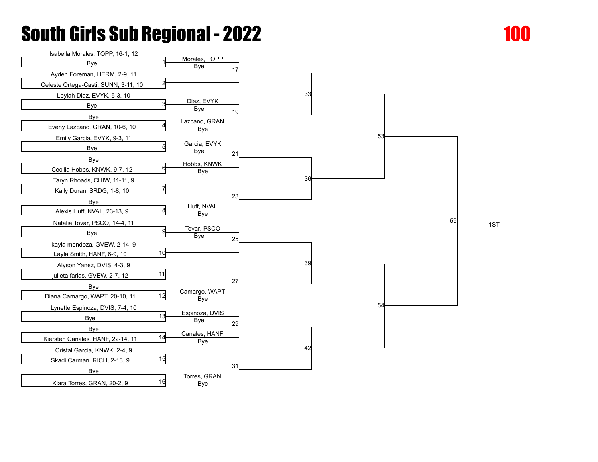

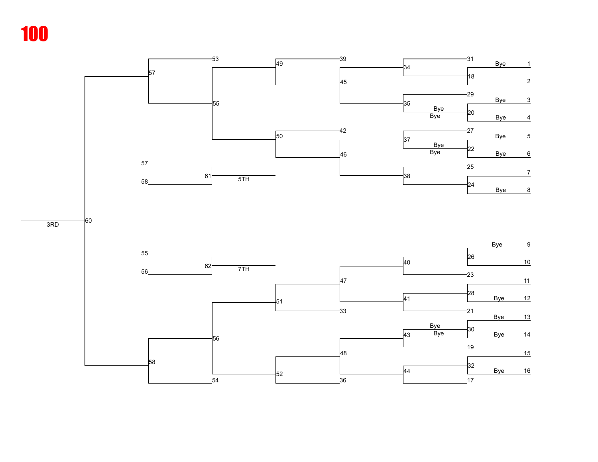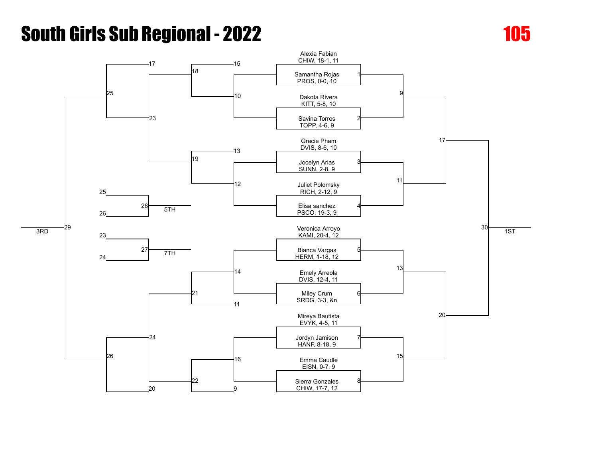

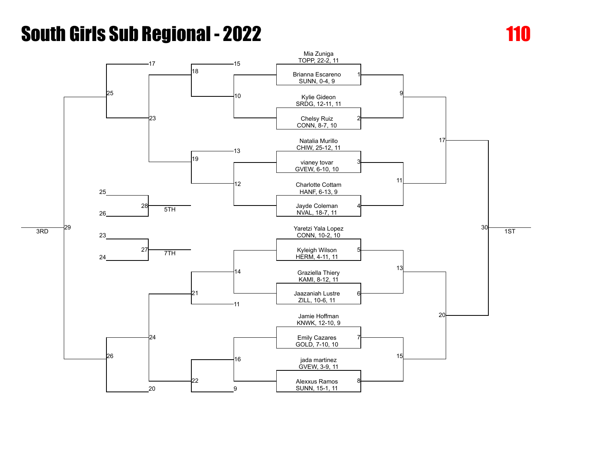

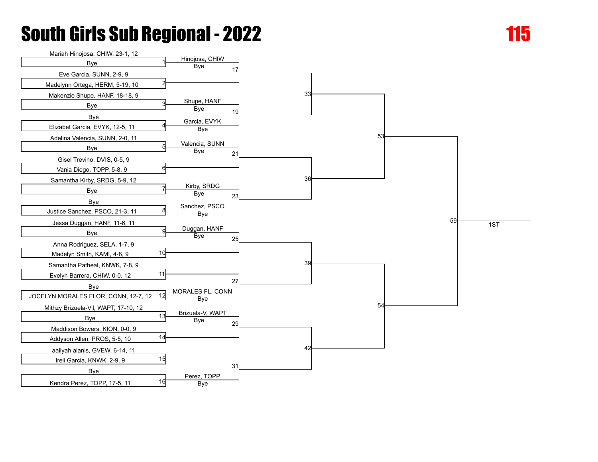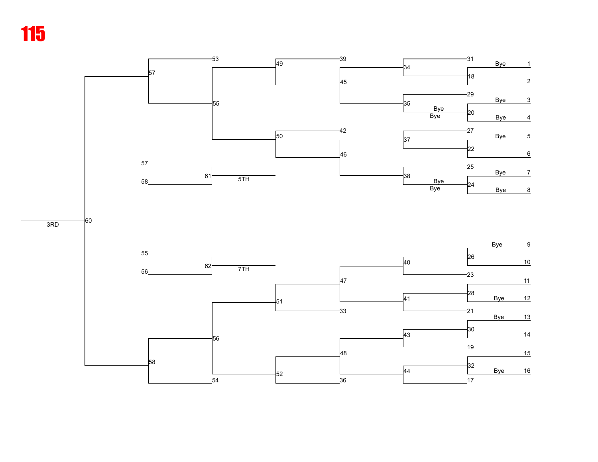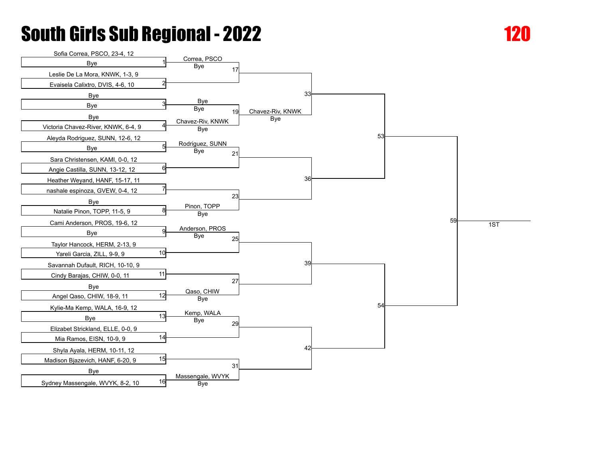

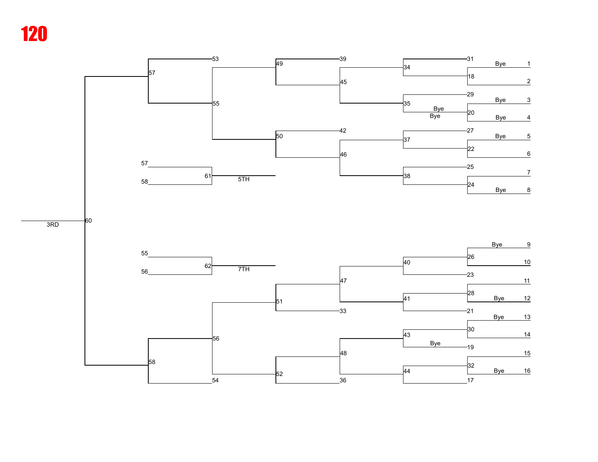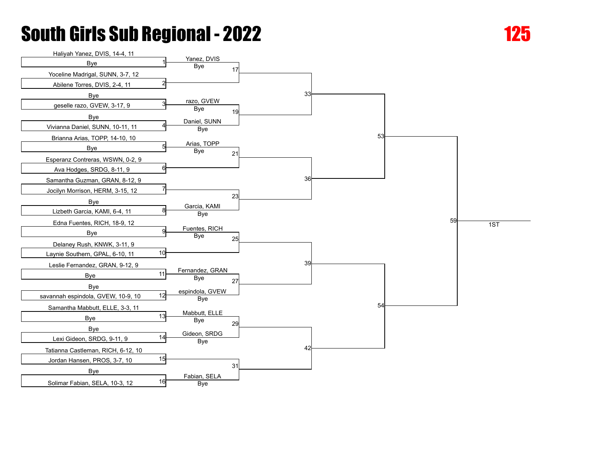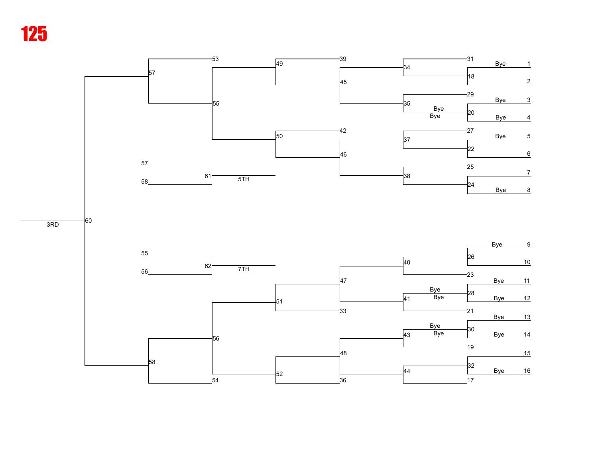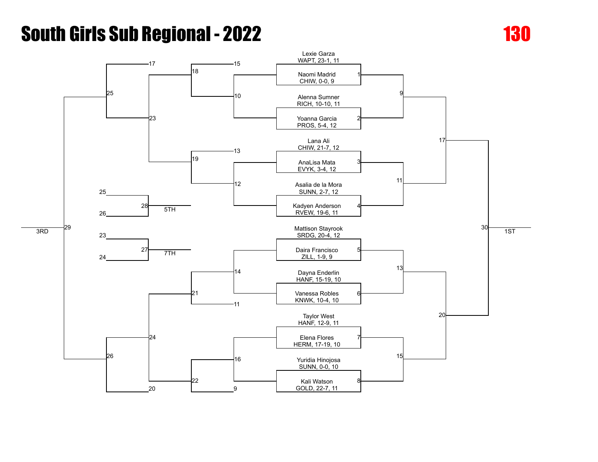

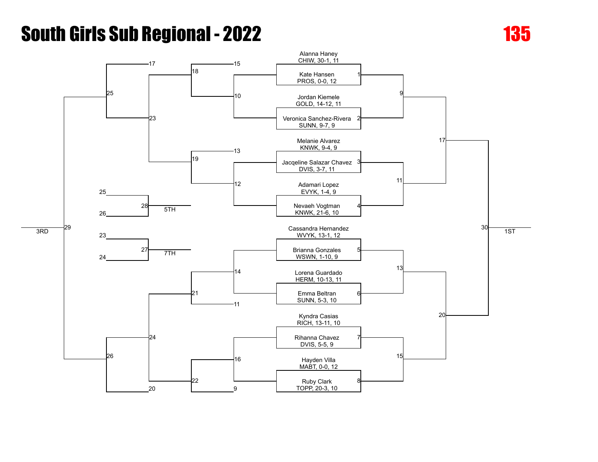

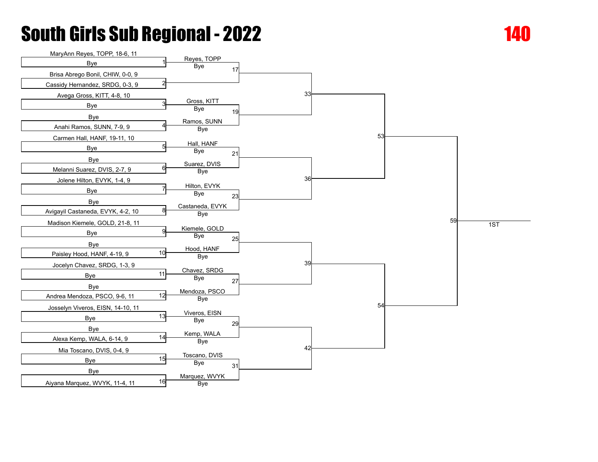

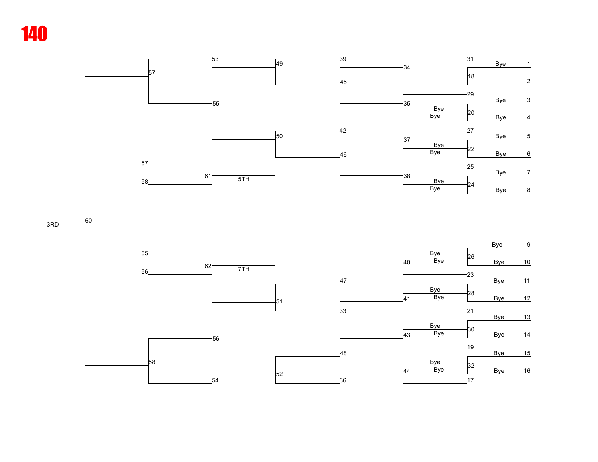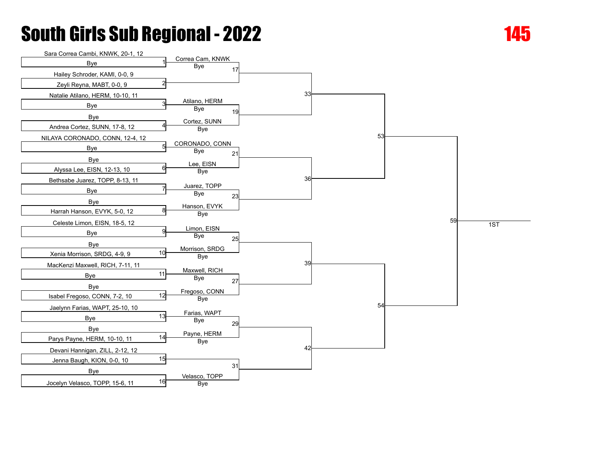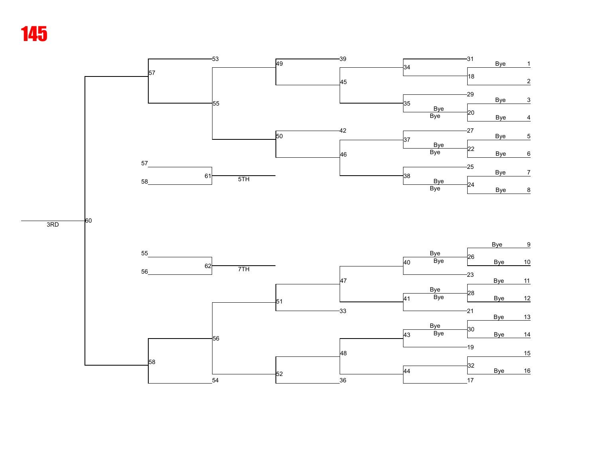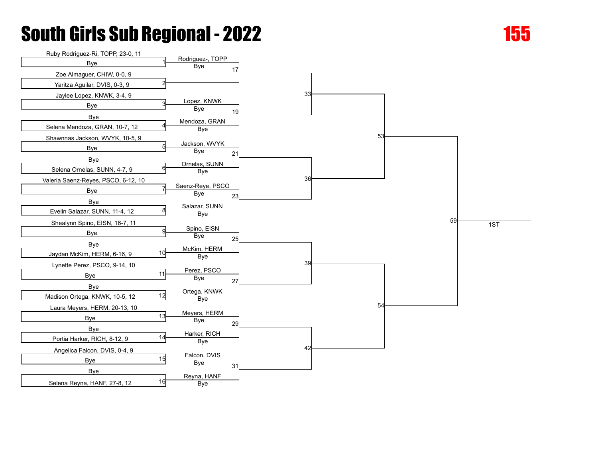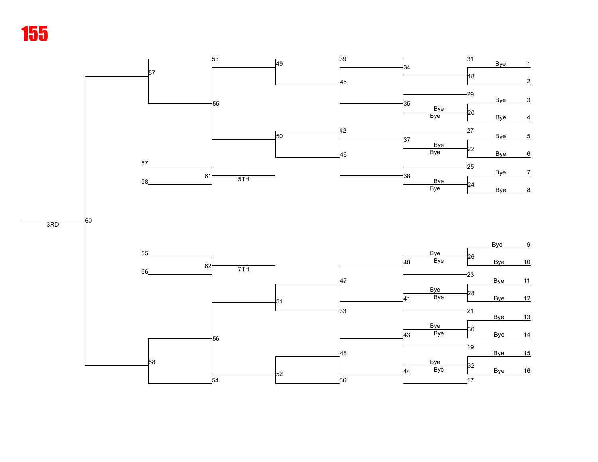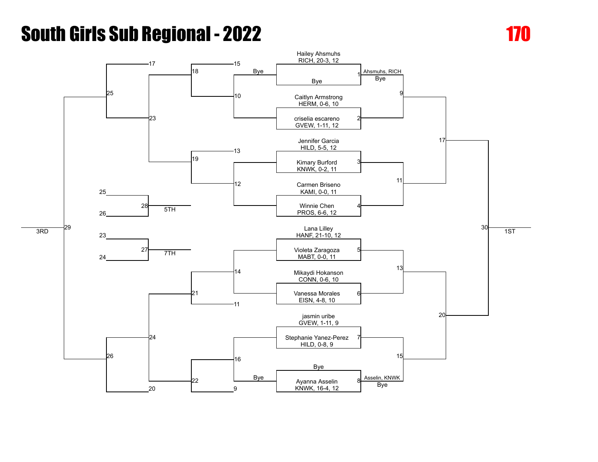

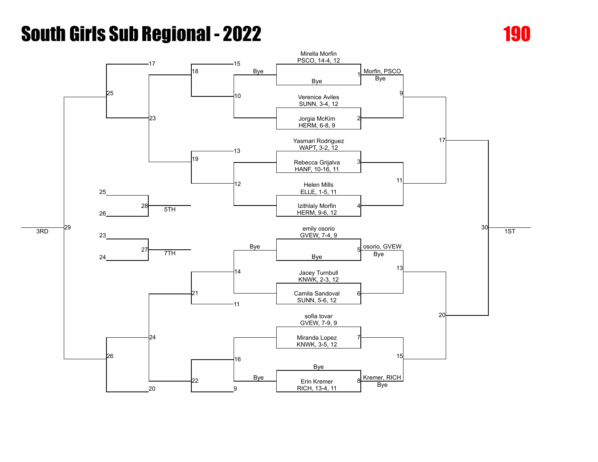